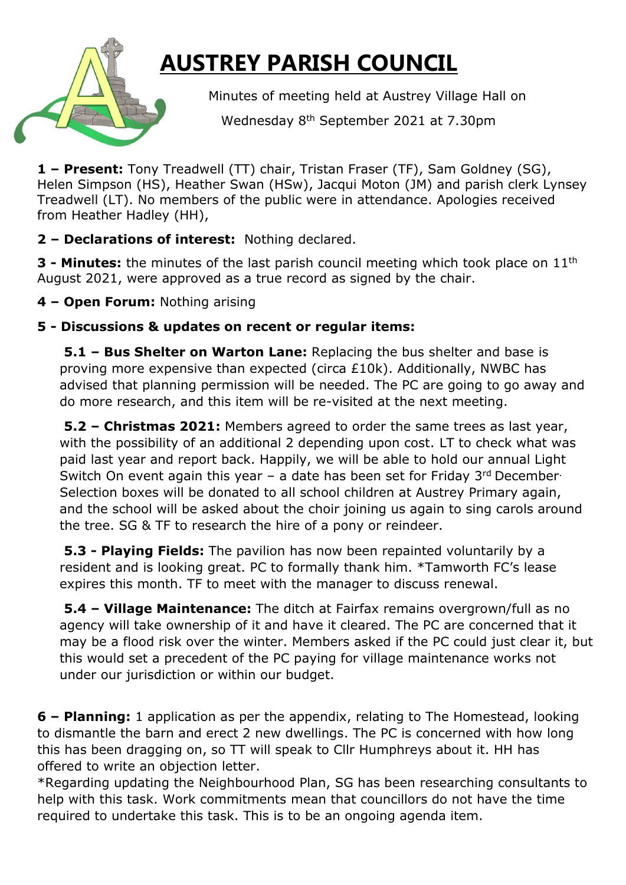## **AUSTREY PARISH COUNCIL**

Minutes of meeting held at Austrey Village Hall on

**Example 2021** Wednesday 8<sup>th</sup> September 2021 at 7.30pm

**1 – Present:** Tony Treadwell (TT) chair, Tristan Fraser (TF), Sam Goldney (SG), Helen Simpson (HS), Heather Swan (HSw), Jacqui Moton (JM) and parish clerk Lynsey Treadwell (LT). No members of the public were in attendance. Apologies received from Heather Hadley (HH),

## **2 – Declarations of interest:** Nothing declared.

**3 - Minutes:** the minutes of the last parish council meeting which took place on 11<sup>th</sup> August 2021, were approved as a true record as signed by the chair.

**4 – Open Forum:** Nothing arising

## **5 - Discussions & updates on recent or regular items:**

**5.1 – Bus Shelter on Warton Lane:** Replacing the bus shelter and base is proving more expensive than expected (circa £10k). Additionally, NWBC has advised that planning permission will be needed. The PC are going to go away and do more research, and this item will be re-visited at the next meeting.

**5.2 – Christmas 2021:** Members agreed to order the same trees as last year, with the possibility of an additional 2 depending upon cost. LT to check what was paid last year and report back. Happily, we will be able to hold our annual Light Switch On event again this year  $-$  a date has been set for Friday 3<sup>rd</sup> December. Selection boxes will be donated to all school children at Austrey Primary again, and the school will be asked about the choir joining us again to sing carols around the tree. SG & TF to research the hire of a pony or reindeer.

**5.3 - Playing Fields:** The pavilion has now been repainted voluntarily by a resident and is looking great. PC to formally thank him. \*Tamworth FC's lease expires this month. TF to meet with the manager to discuss renewal.

**5.4 – Village Maintenance:** The ditch at Fairfax remains overgrown/full as no agency will take ownership of it and have it cleared. The PC are concerned that it may be a flood risk over the winter. Members asked if the PC could just clear it, but this would set a precedent of the PC paying for village maintenance works not under our jurisdiction or within our budget.

**6 – Planning:** 1 application as per the appendix, relating to The Homestead, looking to dismantle the barn and erect 2 new dwellings. The PC is concerned with how long this has been dragging on, so TT will speak to Cllr Humphreys about it. HH has offered to write an objection letter.

\*Regarding updating the Neighbourhood Plan, SG has been researching consultants to help with this task. Work commitments mean that councillors do not have the time required to undertake this task. This is to be an ongoing agenda item.